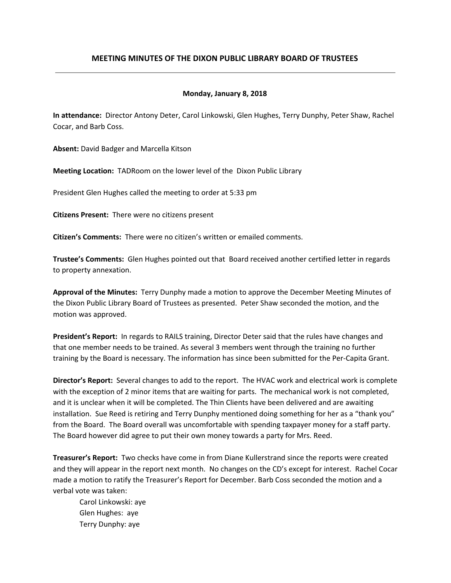# **MEETING MINUTES OF THE DIXON PUBLIC LIBRARY BOARD OF TRUSTEES**

#### **Monday, January 8, 2018**

**In attendance:** Director Antony Deter, Carol Linkowski, Glen Hughes, Terry Dunphy, Peter Shaw, Rachel Cocar, and Barb Coss.

**Absent:** David Badger and Marcella Kitson

**Meeting Location:** TADRoom on the lower level of the Dixon Public Library

President Glen Hughes called the meeting to order at 5:33 pm

**Citizens Present:** There were no citizens present

**Citizen's Comments:** There were no citizen's written or emailed comments.

**Trustee's Comments:** Glen Hughes pointed out that Board received another certified letter in regards to property annexation.

**Approval of the Minutes:** Terry Dunphy made a motion to approve the December Meeting Minutes of the Dixon Public Library Board of Trustees as presented. Peter Shaw seconded the motion, and the motion was approved.

**President's Report:** In regards to RAILS training, Director Deter said that the rules have changes and that one member needs to be trained. As several 3 members went through the training no further training by the Board is necessary. The information has since been submitted for the Per-Capita Grant.

**Director's Report:** Several changes to add to the report. The HVAC work and electrical work is complete with the exception of 2 minor items that are waiting for parts. The mechanical work is not completed, and it is unclear when it will be completed. The Thin Clients have been delivered and are awaiting installation. Sue Reed is retiring and Terry Dunphy mentioned doing something for her as a "thank you" from the Board. The Board overall was uncomfortable with spending taxpayer money for a staff party. The Board however did agree to put their own money towards a party for Mrs. Reed.

**Treasurer's Report:** Two checks have come in from Diane Kullerstrand since the reports were created and they will appear in the report next month. No changes on the CD's except for interest. Rachel Cocar made a motion to ratify the Treasurer's Report for December. Barb Coss seconded the motion and a verbal vote was taken:

Carol Linkowski: aye Glen Hughes: aye Terry Dunphy: aye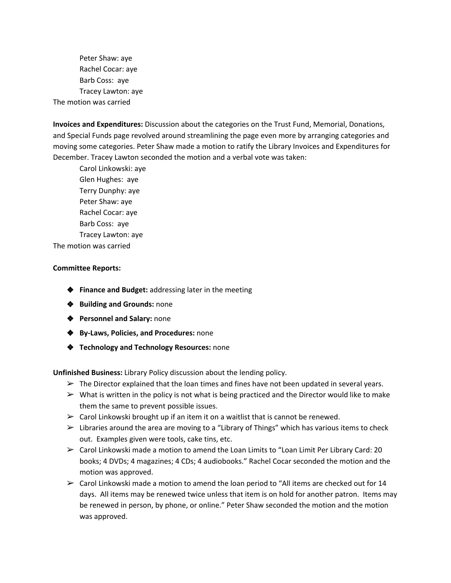Peter Shaw: aye Rachel Cocar: aye Barb Coss: aye Tracey Lawton: aye The motion was carried

**Invoices and Expenditures:** Discussion about the categories on the Trust Fund, Memorial, Donations, and Special Funds page revolved around streamlining the page even more by arranging categories and moving some categories. Peter Shaw made a motion to ratify the Library Invoices and Expenditures for December. Tracey Lawton seconded the motion and a verbal vote was taken:

Carol Linkowski: aye Glen Hughes: aye Terry Dunphy: aye Peter Shaw: aye Rachel Cocar: aye Barb Coss: aye Tracey Lawton: aye The motion was carried

#### **Committee Reports:**

- ❖ **Finance and Budget:** addressing later in the meeting
- ❖ **Building and Grounds:** none
- ❖ **Personnel and Salary:** none
- ❖ **By-Laws, Policies, and Procedures:** none
- ❖ **Technology and Technology Resources:** none

**Unfinished Business:** Library Policy discussion about the lending policy.

- $\triangleright$  The Director explained that the loan times and fines have not been updated in several years.
- $\triangleright$  What is written in the policy is not what is being practiced and the Director would like to make them the same to prevent possible issues.
- $\triangleright$  Carol Linkowski brought up if an item it on a waitlist that is cannot be renewed.
- $\triangleright$  Libraries around the area are moving to a "Library of Things" which has various items to check out. Examples given were tools, cake tins, etc.
- $\triangleright$  Carol Linkowski made a motion to amend the Loan Limits to "Loan Limit Per Library Card: 20 books; 4 DVDs; 4 magazines; 4 CDs; 4 audiobooks." Rachel Cocar seconded the motion and the motion was approved.
- $\geq$  Carol Linkowski made a motion to amend the loan period to "All items are checked out for 14 days. All items may be renewed twice unless that item is on hold for another patron. Items may be renewed in person, by phone, or online." Peter Shaw seconded the motion and the motion was approved.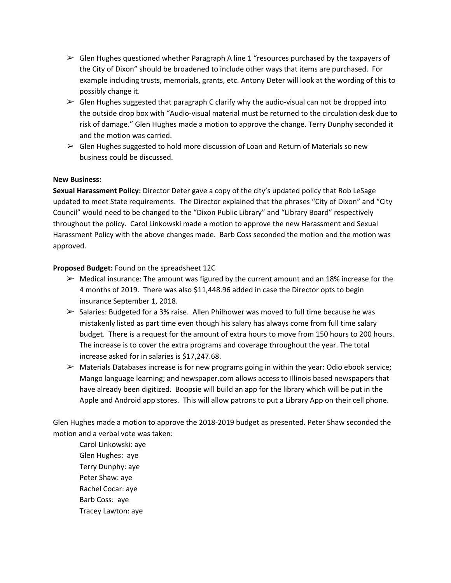- $\triangleright$  Glen Hughes questioned whether Paragraph A line 1 "resources purchased by the taxpayers of the City of Dixon" should be broadened to include other ways that items are purchased. For example including trusts, memorials, grants, etc. Antony Deter will look at the wording of this to possibly change it.
- $\triangleright$  Glen Hughes suggested that paragraph C clarify why the audio-visual can not be dropped into the outside drop box with "Audio-visual material must be returned to the circulation desk due to risk of damage." Glen Hughes made a motion to approve the change. Terry Dunphy seconded it and the motion was carried.
- $\triangleright$  Glen Hughes suggested to hold more discussion of Loan and Return of Materials so new business could be discussed.

### **New Business:**

**Sexual Harassment Policy:** Director Deter gave a copy of the city's updated policy that Rob LeSage updated to meet State requirements. The Director explained that the phrases "City of Dixon" and "City Council" would need to be changed to the "Dixon Public Library" and "Library Board" respectively throughout the policy. Carol Linkowski made a motion to approve the new Harassment and Sexual Harassment Policy with the above changes made. Barb Coss seconded the motion and the motion was approved.

## **Proposed Budget:** Found on the spreadsheet 12C

- $\triangleright$  Medical insurance: The amount was figured by the current amount and an 18% increase for the 4 months of 2019. There was also \$11,448.96 added in case the Director opts to begin insurance September 1, 2018.
- $\triangleright$  Salaries: Budgeted for a 3% raise. Allen Philhower was moved to full time because he was mistakenly listed as part time even though his salary has always come from full time salary budget. There is a request for the amount of extra hours to move from 150 hours to 200 hours. The increase is to cover the extra programs and coverage throughout the year. The total increase asked for in salaries is \$17,247.68.
- ➢ Materials Databases increase is for new programs going in within the year: Odio ebook service; Mango language learning; and newspaper.com allows access to Illinois based newspapers that have already been digitized. Boopsie will build an app for the library which will be put in the Apple and Android app stores. This will allow patrons to put a Library App on their cell phone.

Glen Hughes made a motion to approve the 2018-2019 budget as presented. Peter Shaw seconded the motion and a verbal vote was taken:

Carol Linkowski: aye Glen Hughes: aye Terry Dunphy: aye Peter Shaw: aye Rachel Cocar: aye Barb Coss: aye Tracey Lawton: aye